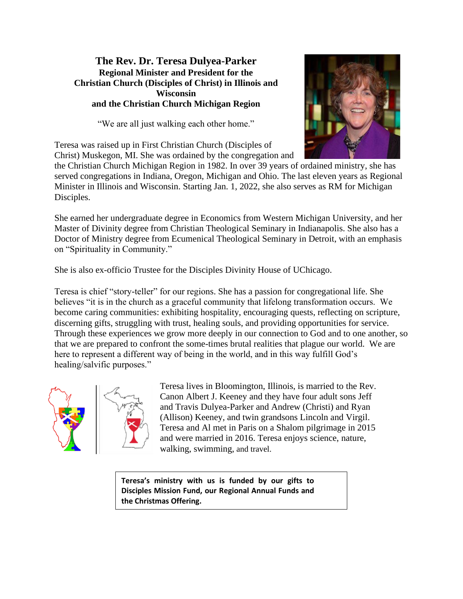### **The Rev. Dr. Teresa Dulyea-Parker Regional Minister and President for the Christian Church (Disciples of Christ) in Illinois and Wisconsin and the Christian Church Michigan Region**

"We are all just walking each other home."



Teresa was raised up in First Christian Church (Disciples of Christ) Muskegon, MI. She was ordained by the congregation and

the Christian Church Michigan Region in 1982. In over 39 years of ordained ministry, she has served congregations in Indiana, Oregon, Michigan and Ohio. The last eleven years as Regional Minister in Illinois and Wisconsin. Starting Jan. 1, 2022, she also serves as RM for Michigan Disciples.

She earned her undergraduate degree in Economics from Western Michigan University, and her Master of Divinity degree from Christian Theological Seminary in Indianapolis. She also has a Doctor of Ministry degree from Ecumenical Theological Seminary in Detroit, with an emphasis on "Spirituality in Community."

She is also ex-officio Trustee for the Disciples Divinity House of UChicago.

Teresa is chief "story-teller" for our regions. She has a passion for congregational life. She believes "it is in the church as a graceful community that lifelong transformation occurs. We become caring communities: exhibiting hospitality, encouraging quests, reflecting on scripture, discerning gifts, struggling with trust, healing souls, and providing opportunities for service. Through these experiences we grow more deeply in our connection to God and to one another, so that we are prepared to confront the some-times brutal realities that plague our world. We are here to represent a different way of being in the world, and in this way fulfill God's healing/salvific purposes."





Teresa lives in Bloomington, Illinois, is married to the Rev. Canon Albert J. Keeney and they have four adult sons Jeff and Travis Dulyea-Parker and Andrew (Christi) and Ryan (Allison) Keeney, and twin grandsons Lincoln and Virgil. Teresa and Al met in Paris on a Shalom pilgrimage in 2015 and were married in 2016. Teresa enjoys science, nature, walking, swimming, and travel.

**Teresa's ministry with us is funded by our gifts to Disciples Mission Fund, our Regional Annual Funds and the Christmas Offering.**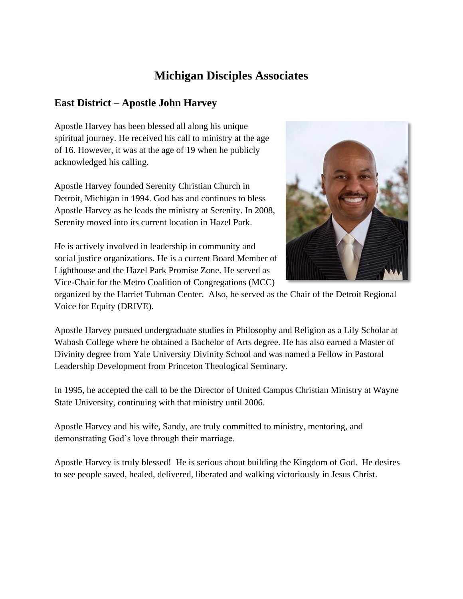# **Michigan Disciples Associates**

# **East District – Apostle John Harvey**

Apostle Harvey has been blessed all along his unique spiritual journey. He received his call to ministry at the age of 16. However, it was at the age of 19 when he publicly acknowledged his calling.

Apostle Harvey founded Serenity Christian Church in Detroit, Michigan in 1994. God has and continues to bless Apostle Harvey as he leads the ministry at Serenity. In 2008, Serenity moved into its current location in Hazel Park.



He is actively involved in leadership in community and social justice organizations. He is a current Board Member of Lighthouse and the Hazel Park Promise Zone. He served as Vice-Chair for the Metro Coalition of Congregations (MCC)

organized by the Harriet Tubman Center. Also, he served as the Chair of the Detroit Regional Voice for Equity (DRIVE).

Apostle Harvey pursued undergraduate studies in Philosophy and Religion as a Lily Scholar at Wabash College where he obtained a Bachelor of Arts degree. He has also earned a Master of Divinity degree from Yale University Divinity School and was named a Fellow in Pastoral Leadership Development from Princeton Theological Seminary.

In 1995, he accepted the call to be the Director of United Campus Christian Ministry at Wayne State University, continuing with that ministry until 2006.

Apostle Harvey and his wife, Sandy, are truly committed to ministry, mentoring, and demonstrating God's love through their marriage.

Apostle Harvey is truly blessed! He is serious about building the Kingdom of God. He desires to see people saved, healed, delivered, liberated and walking victoriously in Jesus Christ.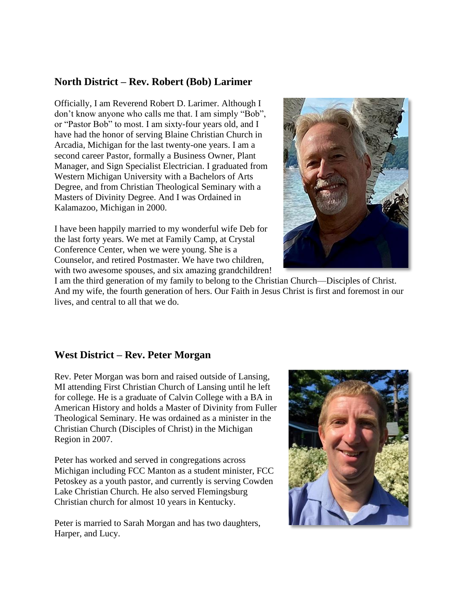### **North District – Rev. Robert (Bob) Larimer**

Officially, I am Reverend Robert D. Larimer. Although I don't know anyone who calls me that. I am simply "Bob", or "Pastor Bob" to most. I am sixty-four years old, and I have had the honor of serving Blaine Christian Church in Arcadia, Michigan for the last twenty-one years. I am a second career Pastor, formally a Business Owner, Plant Manager, and Sign Specialist Electrician. I graduated from Western Michigan University with a Bachelors of Arts Degree, and from Christian Theological Seminary with a Masters of Divinity Degree. And I was Ordained in Kalamazoo, Michigan in 2000.

I have been happily married to my wonderful wife Deb for the last forty years. We met at Family Camp, at Crystal Conference Center, when we were young. She is a Counselor, and retired Postmaster. We have two children, with two awesome spouses, and six amazing grandchildren!



I am the third generation of my family to belong to the Christian Church—Disciples of Christ. And my wife, the fourth generation of hers. Our Faith in Jesus Christ is first and foremost in our lives, and central to all that we do.

### **West District – Rev. Peter Morgan**

Rev. Peter Morgan was born and raised outside of Lansing, MI attending First Christian Church of Lansing until he left for college. He is a graduate of Calvin College with a BA in American History and holds a Master of Divinity from Fuller Theological Seminary. He was ordained as a minister in the Christian Church (Disciples of Christ) in the Michigan Region in 2007.

Peter has worked and served in congregations across Michigan including FCC Manton as a student minister, FCC Petoskey as a youth pastor, and currently is serving Cowden Lake Christian Church. He also served Flemingsburg Christian church for almost 10 years in Kentucky.

Peter is married to Sarah Morgan and has two daughters, Harper, and Lucy.